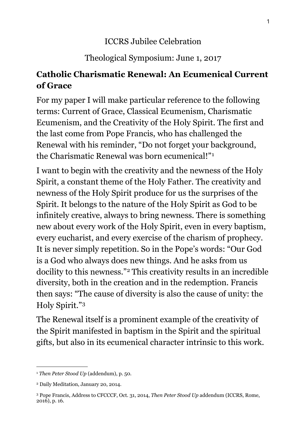## ICCRS Jubilee Celebration

## Theological Symposium: June 1, 2017

## **Catholic Charismatic Renewal: An Ecumenical Current of Grace**

For my paper I will make particular reference to the following terms: Current of Grace, Classical Ecumenism, Charismatic Ecumenism, and the Creativity of the Holy Spirit. The first and the last come from Pope Francis, who has challenged the Renewal with his reminder, "Do not forget your background, the Charismatic Renewal was born ecumenical!"[1](#page-0-0)

I want to begin with the creativity and the newness of the Holy Spirit, a constant theme of the Holy Father. The creativity and newness of the Holy Spirit produce for us the surprises of the Spirit. It belongs to the nature of the Holy Spirit as God to be infinitely creative, always to bring newness. There is something new about every work of the Holy Spirit, even in every baptism, every eucharist, and every exercise of the charism of prophecy. It is never simply repetition. So in the Pope's words: "Our God is a God who always does new things. And he asks from us docility to this newness."[2](#page-0-1) This creativity results in an incredible diversity, both in the creation and in the redemption. Francis then says: "The cause of diversity is also the cause of unity: the Holy Spirit."[3](#page-0-2)

The Renewal itself is a prominent example of the creativity of the Spirit manifested in baptism in the Spirit and the spiritual gifts, but also in its ecumenical character intrinsic to this work.

<span id="page-0-0"></span><sup>1</sup> *Then Peter Stood Up* (addendum), p. 50.

<span id="page-0-1"></span><sup>2</sup> Daily Meditation, January 20, 2014.

<span id="page-0-2"></span><sup>3</sup> Pope Francis, Address to CFCCCF, Oct. 31, 2014, *Then Peter Stood Up* addendum (ICCRS, Rome, 2016), p. 16.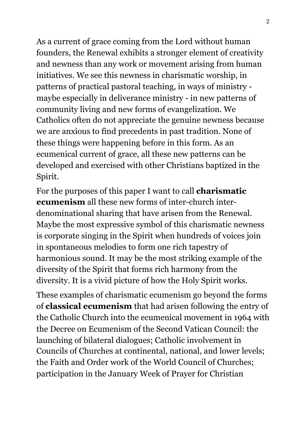As a current of grace coming from the Lord without human founders, the Renewal exhibits a stronger element of creativity and newness than any work or movement arising from human initiatives. We see this newness in charismatic worship, in patterns of practical pastoral teaching, in ways of ministry maybe especially in deliverance ministry - in new patterns of community living and new forms of evangelization. We Catholics often do not appreciate the genuine newness because we are anxious to find precedents in past tradition. None of these things were happening before in this form. As an ecumenical current of grace, all these new patterns can be developed and exercised with other Christians baptized in the Spirit.

For the purposes of this paper I want to call **charismatic ecumenism** all these new forms of inter-church interdenominational sharing that have arisen from the Renewal. Maybe the most expressive symbol of this charismatic newness is corporate singing in the Spirit when hundreds of voices join in spontaneous melodies to form one rich tapestry of harmonious sound. It may be the most striking example of the diversity of the Spirit that forms rich harmony from the diversity. It is a vivid picture of how the Holy Spirit works.

These examples of charismatic ecumenism go beyond the forms of **classical ecumenism** that had arisen following the entry of the Catholic Church into the ecumenical movement in 1964 with the Decree on Ecumenism of the Second Vatican Council: the launching of bilateral dialogues; Catholic involvement in Councils of Churches at continental, national, and lower levels; the Faith and Order work of the World Council of Churches; participation in the January Week of Prayer for Christian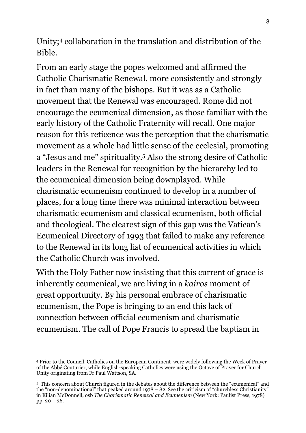Unity;[4](#page-2-0) collaboration in the translation and distribution of the Bible.

From an early stage the popes welcomed and affirmed the Catholic Charismatic Renewal, more consistently and strongly in fact than many of the bishops. But it was as a Catholic movement that the Renewal was encouraged. Rome did not encourage the ecumenical dimension, as those familiar with the early history of the Catholic Fraternity will recall. One major reason for this reticence was the perception that the charismatic movement as a whole had little sense of the ecclesial, promoting a "Jesus and me" spirituality.[5](#page-2-1) Also the strong desire of Catholic leaders in the Renewal for recognition by the hierarchy led to the ecumenical dimension being downplayed. While charismatic ecumenism continued to develop in a number of places, for a long time there was minimal interaction between charismatic ecumenism and classical ecumenism, both official and theological. The clearest sign of this gap was the Vatican's Ecumenical Directory of 1993 that failed to make any reference to the Renewal in its long list of ecumenical activities in which the Catholic Church was involved.

With the Holy Father now insisting that this current of grace is inherently ecumenical, we are living in a *kairos* moment of great opportunity. By his personal embrace of charismatic ecumenism, the Pope is bringing to an end this lack of connection between official ecumenism and charismatic ecumenism. The call of Pope Francis to spread the baptism in

<span id="page-2-0"></span><sup>4</sup> Prior to the Council, Catholics on the European Continent were widely following the Week of Prayer of the Abbé Couturier, while English-speaking Catholics were using the Octave of Prayer for Church Unity originating from Fr Paul Wattson, SA.

<span id="page-2-1"></span><sup>5</sup> This concern about Church figured in the debates about the difference between the "ecumenical" and the "non-denominational" that peaked around 1978 – 82. See the criticism of "churchless Christianity" in Kilian McDonnell, osb *The Charismatic Renewal and Ecumenism* (New York: Paulist Press, 1978) pp. 20 – 36.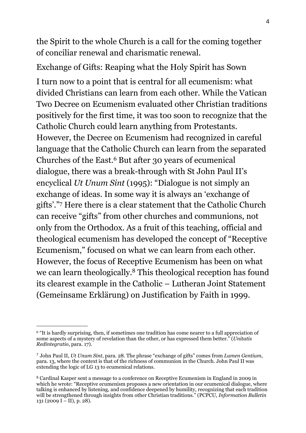the Spirit to the whole Church is a call for the coming together of conciliar renewal and charismatic renewal.

Exchange of Gifts: Reaping what the Holy Spirit has Sown

I turn now to a point that is central for all ecumenism: what divided Christians can learn from each other. While the Vatican Two Decree on Ecumenism evaluated other Christian traditions positively for the first time, it was too soon to recognize that the Catholic Church could learn anything from Protestants. However, the Decree on Ecumenism had recognized in careful language that the Catholic Church can learn from the separated Churches of the East.[6](#page-3-0) But after 30 years of ecumenical dialogue, there was a break-through with St John Paul II's encyclical *Ut Unum Sint* (1995): "Dialogue is not simply an exchange of ideas. In some way it is always an 'exchange of gifts'."[7](#page-3-1) Here there is a clear statement that the Catholic Church can receive "gifts" from other churches and communions, not only from the Orthodox. As a fruit of this teaching, official and theological ecumenism has developed the concept of "Receptive Ecumenism," focused on what we can learn from each other. However, the focus of Receptive Ecumenism has been on what we can learn theologically[.8](#page-3-2) This theological reception has found its clearest example in the Catholic – Lutheran Joint Statement (Gemeinsame Erklärung) on Justification by Faith in 1999.

<span id="page-3-0"></span><sup>&</sup>lt;sup>6</sup> "It is hardly surprising, then, if sometimes one tradition has come nearer to a full appreciation of some aspects of a mystery of revelation than the other, or has expressed them better." (*Unitatis Redintegratio*, para. 17).

<span id="page-3-1"></span><sup>7</sup> John Paul II, *Ut Unum Sint*, para. 28. The phrase "exchange of gifts" comes from *Lumen Gentium*, para. 13, where the context is that of the richness of communion in the Church. John Paul II was extending the logic of LG 13 to ecumenical relations.

<span id="page-3-2"></span><sup>8</sup> Cardinal Kasper sent a message to a conference on Receptive Ecumenism in England in 2009 in which he wrote: "Receptive ecumenism proposes a new orientation in our ecumenical dialogue, where talking is enhanced by listening, and confidence deepened by humility, recognizing that each tradition will be strengthened through insights from other Christian traditions." (PCPCU, *Information Bulletin*   $131 (2009 I - II), p. 28$ ).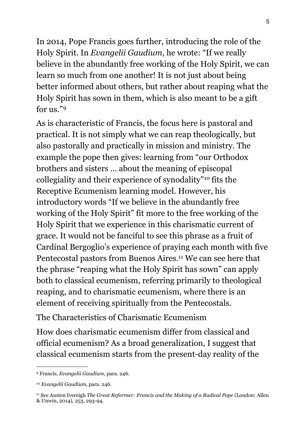In 2014, Pope Francis goes further, introducing the role of the Holy Spirit. In *Evangelii Gaudium*, he wrote: "If we really believe in the abundantly free working of the Holy Spirit, we can learn so much from one another! It is not just about being better informed about others, but rather about reaping what the Holy Spirit has sown in them, which is also meant to be a gift for us."[9](#page-4-0)

As is characteristic of Francis, the focus here is pastoral and practical. It is not simply what we can reap theologically, but also pastorally and practically in mission and ministry. The example the pope then gives: learning from "our Orthodox brothers and sisters … about the meaning of episcopal collegiality and their experience of synodality"[10](#page-4-1) fits the Receptive Ecumenism learning model. However, his introductory words "If we believe in the abundantly free working of the Holy Spirit" fit more to the free working of the Holy Spirit that we experience in this charismatic current of grace. It would not be fanciful to see this phrase as a fruit of Cardinal Bergoglio's experience of praying each month with five Pentecostal pastors from Buenos Aires.<sup>11</sup> We can see here that the phrase "reaping what the Holy Spirit has sown" can apply both to classical ecumenism, referring primarily to theological reaping, and to charismatic ecumenism, where there is an element of receiving spiritually from the Pentecostals.

The Characteristics of Charismatic Ecumenism

How does charismatic ecumenism differ from classical and official ecumenism? As a broad generalization, I suggest that classical ecumenism starts from the present-day reality of the

<span id="page-4-0"></span><sup>9</sup> Francis, *Evangelii Gaudium*, para. 246.

<span id="page-4-1"></span><sup>10</sup> *Evangelii Gaudium*, para. 246.

<span id="page-4-2"></span><sup>&</sup>lt;sup>11</sup> See Austen Ivereigh *The Great Reformer: Francis and the Making of a Radical Pope* (London: Allen & Unwin, 2014), 253, 293-94.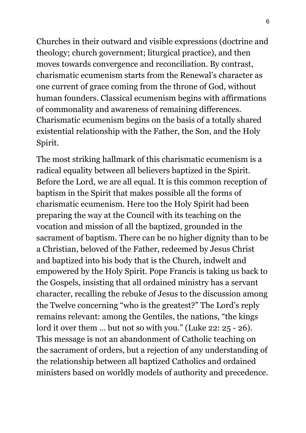Churches in their outward and visible expressions (doctrine and theology; church government; liturgical practice), and then moves towards convergence and reconciliation. By contrast, charismatic ecumenism starts from the Renewal's character as one current of grace coming from the throne of God, without human founders. Classical ecumenism begins with affirmations of commonality and awareness of remaining differences. Charismatic ecumenism begins on the basis of a totally shared existential relationship with the Father, the Son, and the Holy Spirit.

The most striking hallmark of this charismatic ecumenism is a radical equality between all believers baptized in the Spirit. Before the Lord, we are all equal. It is this common reception of baptism in the Spirit that makes possible all the forms of charismatic ecumenism. Here too the Holy Spirit had been preparing the way at the Council with its teaching on the vocation and mission of all the baptized, grounded in the sacrament of baptism. There can be no higher dignity than to be a Christian, beloved of the Father, redeemed by Jesus Christ and baptized into his body that is the Church, indwelt and empowered by the Holy Spirit. Pope Francis is taking us back to the Gospels, insisting that all ordained ministry has a servant character, recalling the rebuke of Jesus to the discussion among the Twelve concerning "who is the greatest?" The Lord's reply remains relevant: among the Gentiles, the nations, "the kings lord it over them ... but not so with you." (Luke 22: 25 - 26). This message is not an abandonment of Catholic teaching on the sacrament of orders, but a rejection of any understanding of the relationship between all baptized Catholics and ordained ministers based on worldly models of authority and precedence.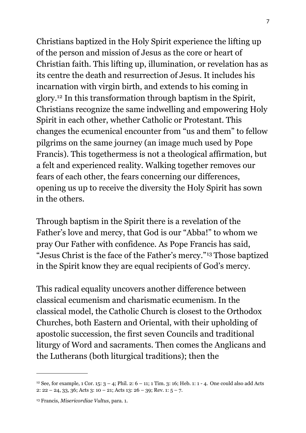Christians baptized in the Holy Spirit experience the lifting up of the person and mission of Jesus as the core or heart of Christian faith. This lifting up, illumination, or revelation has as its centre the death and resurrection of Jesus. It includes his incarnation with virgin birth, and extends to his coming in glory.[12](#page-6-0) In this transformation through baptism in the Spirit, Christians recognize the same indwelling and empowering Holy Spirit in each other, whether Catholic or Protestant. This changes the ecumenical encounter from "us and them" to fellow pilgrims on the same journey (an image much used by Pope Francis). This togethermess is not a theological affirmation, but a felt and experienced reality. Walking together removes our fears of each other, the fears concerning our differences, opening us up to receive the diversity the Holy Spirit has sown in the others.

Through baptism in the Spirit there is a revelation of the Father's love and mercy, that God is our "Abba!" to whom we pray Our Father with confidence. As Pope Francis has said, "Jesus Christ is the face of the Father's mercy."[13](#page-6-1) Those baptized in the Spirit know they are equal recipients of God's mercy.

This radical equality uncovers another difference between classical ecumenism and charismatic ecumenism. In the classical model, the Catholic Church is closest to the Orthodox Churches, both Eastern and Oriental, with their upholding of apostolic succession, the first seven Councils and traditional liturgy of Word and sacraments. Then comes the Anglicans and the Lutherans (both liturgical traditions); then the

<span id="page-6-0"></span><sup>&</sup>lt;sup>12</sup> See, for example, 1 Cor. 15:  $3 - 4$ ; Phil. 2:  $6 - 11$ ; 1 Tim. 3: 16; Heb. 1:  $1 - 4$ . One could also add Acts 2:  $22 - 24$ ,  $33$ ,  $36$ ; Acts  $3$ :  $10 - 21$ ; Acts  $13$ :  $26 - 39$ ; Rev.  $1: 5 - 7$ .

<span id="page-6-1"></span><sup>13</sup> Francis, *Misericordiae Vultus*, para. 1.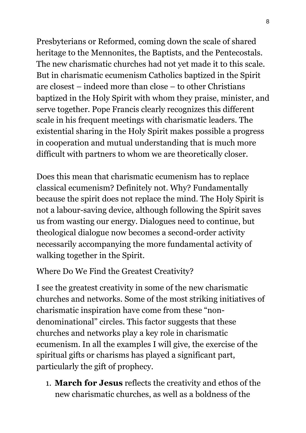Presbyterians or Reformed, coming down the scale of shared heritage to the Mennonites, the Baptists, and the Pentecostals. The new charismatic churches had not yet made it to this scale. But in charismatic ecumenism Catholics baptized in the Spirit are closest – indeed more than close – to other Christians baptized in the Holy Spirit with whom they praise, minister, and serve together. Pope Francis clearly recognizes this different scale in his frequent meetings with charismatic leaders. The existential sharing in the Holy Spirit makes possible a progress in cooperation and mutual understanding that is much more difficult with partners to whom we are theoretically closer.

Does this mean that charismatic ecumenism has to replace classical ecumenism? Definitely not. Why? Fundamentally because the spirit does not replace the mind. The Holy Spirit is not a labour-saving device, although following the Spirit saves us from wasting our energy. Dialogues need to continue, but theological dialogue now becomes a second-order activity necessarily accompanying the more fundamental activity of walking together in the Spirit.

Where Do We Find the Greatest Creativity?

I see the greatest creativity in some of the new charismatic churches and networks. Some of the most striking initiatives of charismatic inspiration have come from these "nondenominational" circles. This factor suggests that these churches and networks play a key role in charismatic ecumenism. In all the examples I will give, the exercise of the spiritual gifts or charisms has played a significant part, particularly the gift of prophecy.

1. **March for Jesus** reflects the creativity and ethos of the new charismatic churches, as well as a boldness of the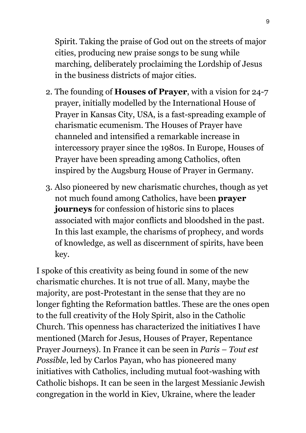Spirit. Taking the praise of God out on the streets of major cities, producing new praise songs to be sung while marching, deliberately proclaiming the Lordship of Jesus in the business districts of major cities.

- 2. The founding of **Houses of Prayer**, with a vision for 24-7 prayer, initially modelled by the International House of Prayer in Kansas City, USA, is a fast-spreading example of charismatic ecumenism. The Houses of Prayer have channeled and intensified a remarkable increase in intercessory prayer since the 1980s. In Europe, Houses of Prayer have been spreading among Catholics, often inspired by the Augsburg House of Prayer in Germany.
- 3. Also pioneered by new charismatic churches, though as yet not much found among Catholics, have been **prayer journeys** for confession of historic sins to places associated with major conflicts and bloodshed in the past. In this last example, the charisms of prophecy, and words of knowledge, as well as discernment of spirits, have been key.

I spoke of this creativity as being found in some of the new charismatic churches. It is not true of all. Many, maybe the majority, are post-Protestant in the sense that they are no longer fighting the Reformation battles. These are the ones open to the full creativity of the Holy Spirit, also in the Catholic Church. This openness has characterized the initiatives I have mentioned (March for Jesus, Houses of Prayer, Repentance Prayer Journeys). In France it can be seen in *Paris – Tout est Possible*, led by Carlos Payan, who has pioneered many initiatives with Catholics, including mutual foot-washing with Catholic bishops. It can be seen in the largest Messianic Jewish congregation in the world in Kiev, Ukraine, where the leader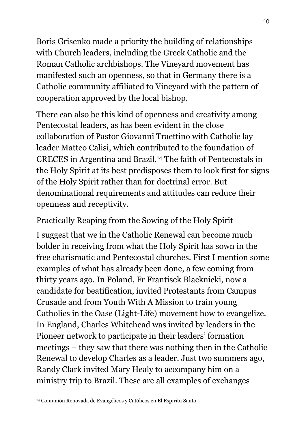Boris Grisenko made a priority the building of relationships with Church leaders, including the Greek Catholic and the Roman Catholic archbishops. The Vineyard movement has manifested such an openness, so that in Germany there is a Catholic community affiliated to Vineyard with the pattern of cooperation approved by the local bishop.

There can also be this kind of openness and creativity among Pentecostal leaders, as has been evident in the close collaboration of Pastor Giovanni Traettino with Catholic lay leader Matteo Calisi, which contributed to the foundation of CRECES in Argentina and Brazil.[14](#page-9-0) The faith of Pentecostals in the Holy Spirit at its best predisposes them to look first for signs of the Holy Spirit rather than for doctrinal error. But denominational requirements and attitudes can reduce their openness and receptivity.

Practically Reaping from the Sowing of the Holy Spirit

I suggest that we in the Catholic Renewal can become much bolder in receiving from what the Holy Spirit has sown in the free charismatic and Pentecostal churches. First I mention some examples of what has already been done, a few coming from thirty years ago. In Poland, Fr Frantisek Blacknicki, now a candidate for beatification, invited Protestants from Campus Crusade and from Youth With A Mission to train young Catholics in the Oase (Light-Life) movement how to evangelize. In England, Charles Whitehead was invited by leaders in the Pioneer network to participate in their leaders' formation meetings – they saw that there was nothing then in the Catholic Renewal to develop Charles as a leader. Just two summers ago, Randy Clark invited Mary Healy to accompany him on a ministry trip to Brazil. These are all examples of exchanges

<span id="page-9-0"></span><sup>14</sup> Comunión Renovada de Evangélicos y Católicos en El Espiritu Santo.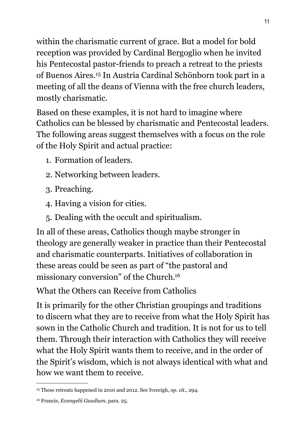within the charismatic current of grace. But a model for bold reception was provided by Cardinal Bergoglio when he invited his Pentecostal pastor-friends to preach a retreat to the priests of Buenos Aires.[15](#page-10-0) In Austria Cardinal Schönborn took part in a meeting of all the deans of Vienna with the free church leaders, mostly charismatic.

Based on these examples, it is not hard to imagine where Catholics can be blessed by charismatic and Pentecostal leaders. The following areas suggest themselves with a focus on the role of the Holy Spirit and actual practice:

- 1. Formation of leaders.
- 2. Networking between leaders.
- 3. Preaching.
- 4. Having a vision for cities.
- 5. Dealing with the occult and spiritualism.

In all of these areas, Catholics though maybe stronger in theology are generally weaker in practice than their Pentecostal and charismatic counterparts. Initiatives of collaboration in these areas could be seen as part of "the pastoral and missionary conversion" of the Church[.16](#page-10-1)

What the Others can Receive from Catholics

It is primarily for the other Christian groupings and traditions to discern what they are to receive from what the Holy Spirit has sown in the Catholic Church and tradition. It is not for us to tell them. Through their interaction with Catholics they will receive what the Holy Spirit wants them to receive, and in the order of the Spirit's wisdom, which is not always identical with what and how we want them to receive.

<span id="page-10-1"></span><sup>16</sup> Francis, *Evangelii Gaudium*, para. 25.

<span id="page-10-0"></span><sup>15</sup> These retreats happened in 2010 and 2012. See Ivereigh, *op. cit.*, 294.